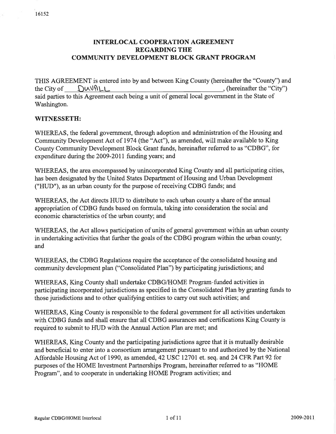# INTERLOCAL COOPERATION AGREEMENT REGARDING THE COMMUNITY DEVELOPMENT BLOCK GRANT PROGRAM

THIS AGREEMENT is entered into by and between King County (hereinafter the "County'') and the City of  $\bigcup_{\text{Cov}}$ (hereinafter the "City") said parties to this Agreement each being a unit of general local government in the State of Washington.

### WITNESSETH:

WHEREAS, the federal government, through adoption and administration of the Housing and Community Development Act of 1974 (the "Act"), as amended, will make available to King County Community Development Block Grant funds, hereinafter referred to as "CDBG", for expenditure during the 2009-2011 funding years; and

WHEREAS, the area encompassed by unincorporated King County and all participating cities, has been designated by the United States Department of Housing and Urban Development ("HUD"), as an urban county for the purpose of receiving CDBG funds; and

WHEREAS, the Act directs HUD to distribute to each urban county a share of the annual appropriation of CDBG funds based on formula, taking into consideration the social and economic characteristics of the urban county; and

WHEREAS, the Act allows participation of units of general government within an urban county in undertaking activities that further the goals of the CDBG program within the urban county; and

WHEREAS, the CDBG Regulations require the acceptance of the consolidated housing and community development plan ("Consolidated Plan") by participating jurisdictions; and

WHEREAS, King County shall undertake CDBG/HOME Program-funded activities in participating incorporated jurisdictions as specified in the Consolidated Plan by granting funds to those jurisdictions and to other qualiffing entities to carry out such activities; and

WHEREAS, King County is responsible to the federal government for all activities undertaken with CDBG funds and shall ensure that all CDBG assurances and certifications King County is required to submit to HUD with the Annual Action Plan are met; and

WHEREAS, King County and the participating jurisdictions agree that it is mutually desirable and beneficial to enter into a consortium arrangement pursuant to and authorized by the National Affordable Housing Act of 1990, as amended, 42 USC 12701 et. seq. and 24 CFR Part 92 for purposes of the HOME lnvestment Partnerships Program, hereinafter referred to as "HOME Program", and to cooperate in undertaking HOME Program activities; and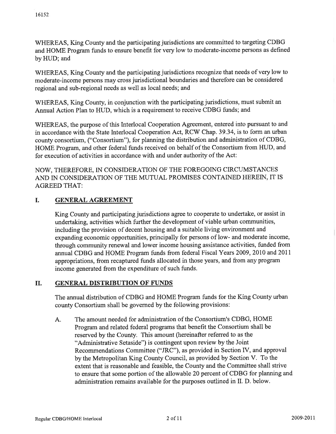WHEREAS, King County and the participating jurisdictions are committed to targeting CDBG and HOME Program funds to ensure benefit for very low to moderate-income persons as defined by HUD; and

WHEREAS, King County and the participating jurisdictions recognize that needs of very low to moderate-income persons may cross jurisdictional boundaries and therefore can be considered regional and sub-regional needs as well as local needs; and

WHEREAS, King County, in conjunction with the participating jurisdictions, must submit an Annual Action Plan to HUD, which is a requirement to receive CDBG funds; and

WHEREAS, the purpose of this Interlocal Cooperation Agreement, entered into pursuant to and in accordance with the State Interlocal Cooperation Act, RCW Chap. 39.34, is to form an urban county consortium, ("Consortium"), for planning the distribution and administration of CDBG, HOME Program, and other federal funds received on behalf of the Consortium from HUD, and for execution of activities in accordance with and under authority of the Act:

NOW, THEREFORE, IN CONSIDERATION OF THE FOREGOING CIRCUMSTANCES AND IN CONSIDERATION OF THE MUTUAL PROMISES CONTAINED HEREIN, IT IS AGREED THAT:

#### I. GENERAL AGREEMENT

King County and participating jurisdictions agree to cooperate to undertake, or assist in undertaking, activities which further the development of viable urban communities, including the provision of decent housing and a suitable living environment and expanding economic opportunities, principally for persons of low- and moderate income, through community renewal and lower income housing assistance activities, funded from annual CDBG and HOME Program funds from federal Fiscal Years 2009, 2010 and 2011 appropriations, from recaptured funds allocated in those years, and from any program income generated from the expenditure of such funds.

#### GENERAL DISTRIBUTION OF FUNDS II.

The annual distribution of CDBG and HOME Program funds for the King County urban county Consortium shall be governed by the following provisions:

A. The amount needed for administration of the Consortium's CDBG, HOME Program and related federal programs that benefit the Consortium shall be reserved by the County. This amount (hereinafter referred to as the "Administrative Setaside") is contingent upon review by the Joint Recommendations Committee ("JRC"), as provided in Section IV, and approval by the Metropolitan King County Council, as provided by Section V. To the extent that is reasonable and feasible, the County and the Committee shall strive to ensure that some portion of the allowable 20 percent of CDBG for planning and administration remains available for the purposes outlined in II. D. below.